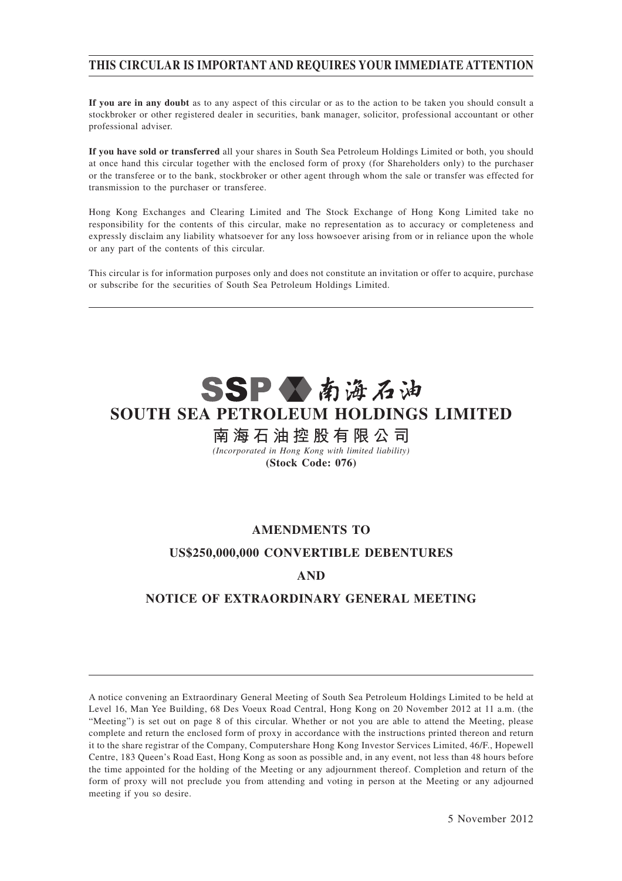## **THIS CIRCULAR IS IMPORTANT AND REQUIRES YOUR IMMEDIATE ATTENTION**

**If you are in any doubt** as to any aspect of this circular or as to the action to be taken you should consult a stockbroker or other registered dealer in securities, bank manager, solicitor, professional accountant or other professional adviser.

**If you have sold or transferred** all your shares in South Sea Petroleum Holdings Limited or both, you should at once hand this circular together with the enclosed form of proxy (for Shareholders only) to the purchaser or the transferee or to the bank, stockbroker or other agent through whom the sale or transfer was effected for transmission to the purchaser or transferee.

Hong Kong Exchanges and Clearing Limited and The Stock Exchange of Hong Kong Limited take no responsibility for the contents of this circular, make no representation as to accuracy or completeness and expressly disclaim any liability whatsoever for any loss howsoever arising from or in reliance upon the whole or any part of the contents of this circular.

This circular is for information purposes only and does not constitute an invitation or offer to acquire, purchase or subscribe for the securities of South Sea Petroleum Holdings Limited.

# SSPV南海石油 **SOUTH SEA PETROLEUM HOLDINGS LIMITED**

## **南 海 石 油 控 股 有 限 公 司**

*(Incorporated in Hong Kong with limited liability)* **(Stock Code: 076)**

## **AMENDMENTS TO**

## **US\$250,000,000 CONVERTIBLE DEBENTURES**

## **AND**

## **NOTICE OF EXTRAORDINARY GENERAL MEETING**

A notice convening an Extraordinary General Meeting of South Sea Petroleum Holdings Limited to be held at Level 16, Man Yee Building, 68 Des Voeux Road Central, Hong Kong on 20 November 2012 at 11 a.m. (the "Meeting") is set out on page 8 of this circular. Whether or not you are able to attend the Meeting, please complete and return the enclosed form of proxy in accordance with the instructions printed thereon and return it to the share registrar of the Company, Computershare Hong Kong Investor Services Limited, 46/F., Hopewell Centre, 183 Queen's Road East, Hong Kong as soon as possible and, in any event, not less than 48 hours before the time appointed for the holding of the Meeting or any adjournment thereof. Completion and return of the form of proxy will not preclude you from attending and voting in person at the Meeting or any adjourned meeting if you so desire.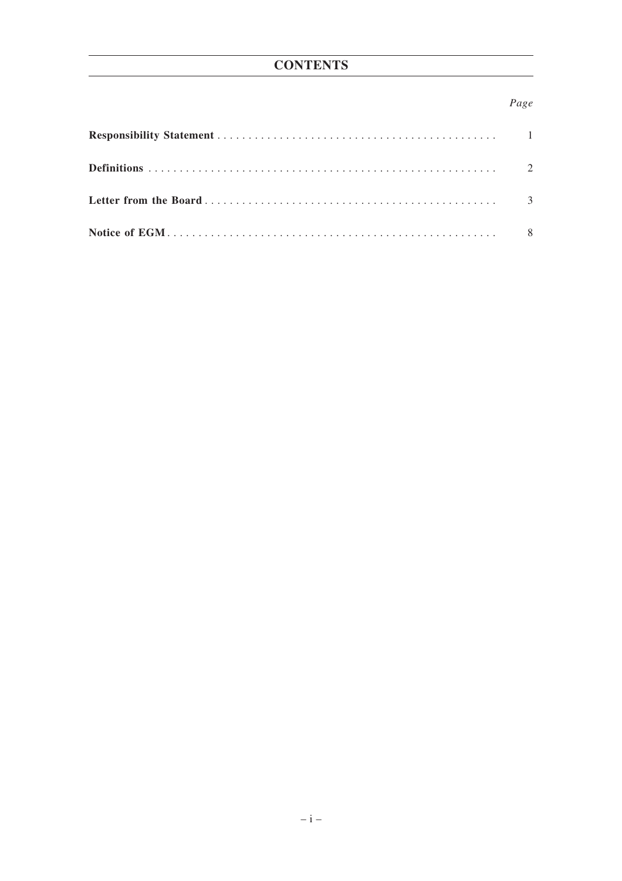## Page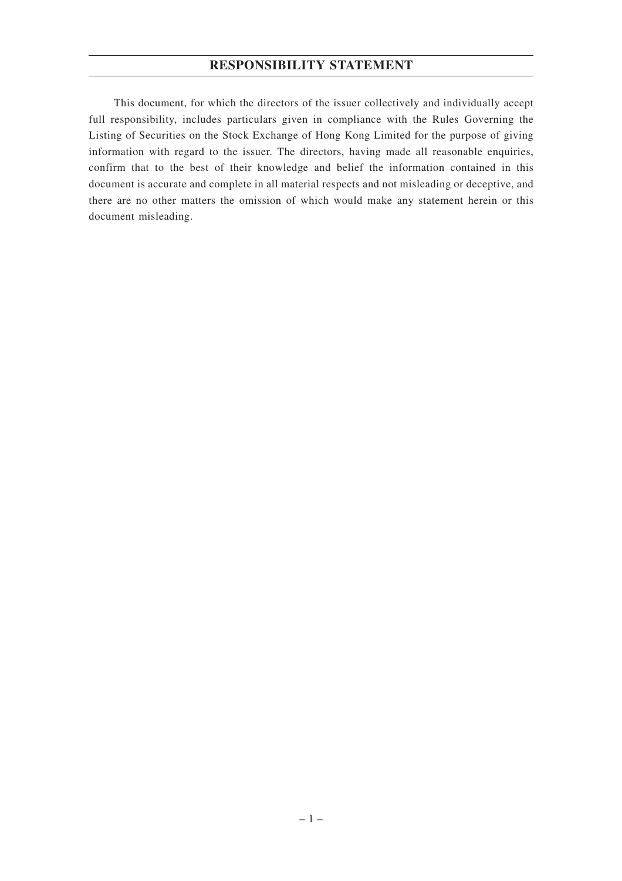## **RESPONSIBILITY STATEMENT**

This document, for which the directors of the issuer collectively and individually accept full responsibility, includes particulars given in compliance with the Rules Governing the Listing of Securities on the Stock Exchange of Hong Kong Limited for the purpose of giving information with regard to the issuer. The directors, having made all reasonable enquiries, confirm that to the best of their knowledge and belief the information contained in this document is accurate and complete in all material respects and not misleading or deceptive, and there are no other matters the omission of which would make any statement herein or this document misleading.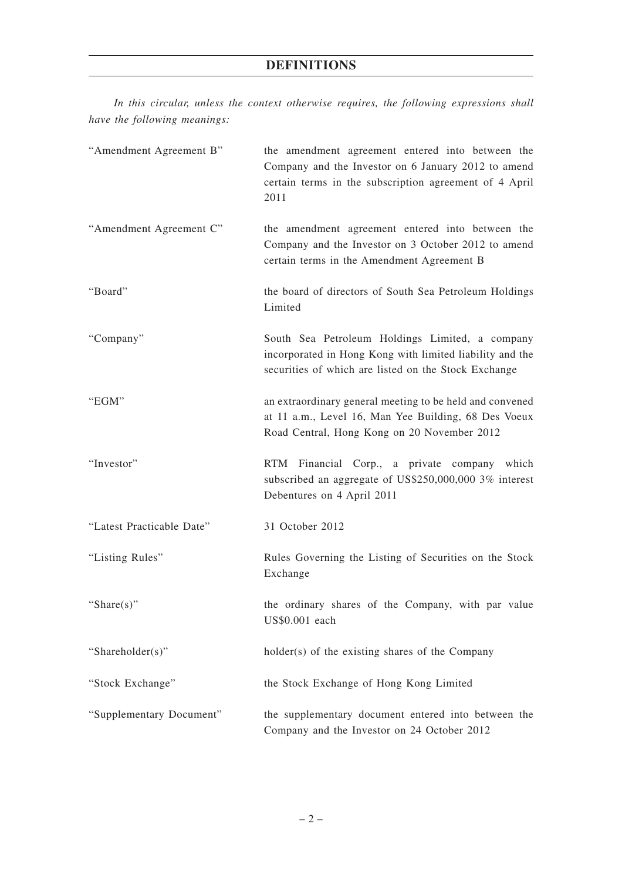## **DEFINITIONS**

*In this circular, unless the context otherwise requires, the following expressions shall have the following meanings:*

| "Amendment Agreement B"   | the amendment agreement entered into between the<br>Company and the Investor on 6 January 2012 to amend<br>certain terms in the subscription agreement of 4 April<br>2011 |
|---------------------------|---------------------------------------------------------------------------------------------------------------------------------------------------------------------------|
| "Amendment Agreement C"   | the amendment agreement entered into between the<br>Company and the Investor on 3 October 2012 to amend<br>certain terms in the Amendment Agreement B                     |
| "Board"                   | the board of directors of South Sea Petroleum Holdings<br>Limited                                                                                                         |
| "Company"                 | South Sea Petroleum Holdings Limited, a company<br>incorporated in Hong Kong with limited liability and the<br>securities of which are listed on the Stock Exchange       |
| "EGM"                     | an extraordinary general meeting to be held and convened<br>at 11 a.m., Level 16, Man Yee Building, 68 Des Voeux<br>Road Central, Hong Kong on 20 November 2012           |
| "Investor"                | RTM Financial Corp., a private company which<br>subscribed an aggregate of US\$250,000,000 3% interest<br>Debentures on 4 April 2011                                      |
| "Latest Practicable Date" | 31 October 2012                                                                                                                                                           |
| "Listing Rules"           | Rules Governing the Listing of Securities on the Stock<br>Exchange                                                                                                        |
| "Share $(s)$ "            | the ordinary shares of the Company, with par value<br>US\$0.001 each                                                                                                      |
| "Shareholder(s)"          | holder(s) of the existing shares of the Company                                                                                                                           |
| "Stock Exchange"          | the Stock Exchange of Hong Kong Limited                                                                                                                                   |
| "Supplementary Document"  | the supplementary document entered into between the<br>Company and the Investor on 24 October 2012                                                                        |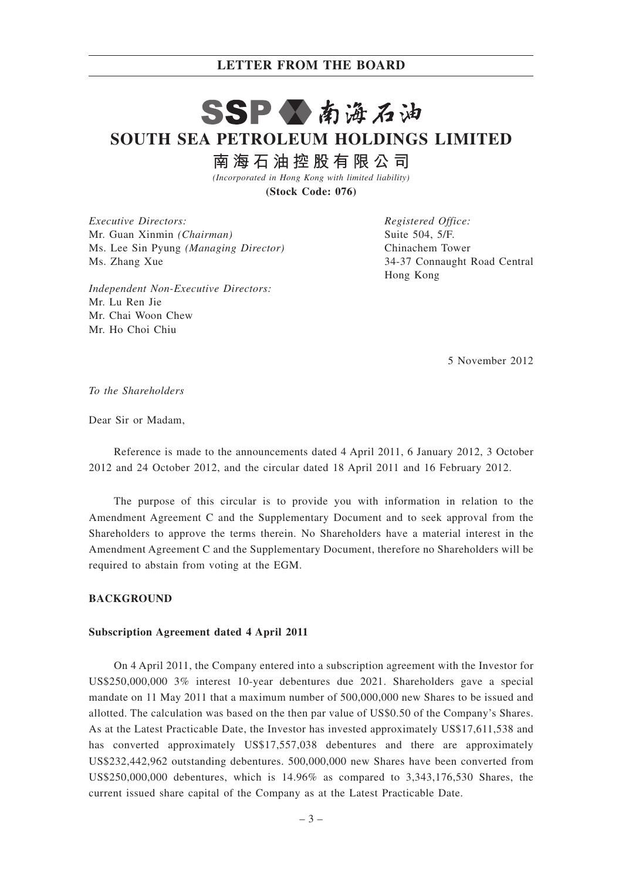# SSPV南海石油 **SOUTH SEA PETROLEUM HOLDINGS LIMITED**

**南 海 石 油 控 股 有 限 公 司**

*(Incorporated in Hong Kong with limited liability)* **(Stock Code: 076)**

*Executive Directors:* Mr. Guan Xinmin *(Chairman)* Ms. Lee Sin Pyung *(Managing Director)* Ms. Zhang Xue

*Independent Non-Executive Directors:* Mr. Lu Ren Jie Mr. Chai Woon Chew Mr. Ho Choi Chiu

*Registered Office:* Suite 504, 5/F. Chinachem Tower 34-37 Connaught Road Central Hong Kong

5 November 2012

*To the Shareholders*

Dear Sir or Madam,

Reference is made to the announcements dated 4 April 2011, 6 January 2012, 3 October 2012 and 24 October 2012, and the circular dated 18 April 2011 and 16 February 2012.

The purpose of this circular is to provide you with information in relation to the Amendment Agreement C and the Supplementary Document and to seek approval from the Shareholders to approve the terms therein. No Shareholders have a material interest in the Amendment Agreement C and the Supplementary Document, therefore no Shareholders will be required to abstain from voting at the EGM.

#### **BACKGROUND**

#### **Subscription Agreement dated 4 April 2011**

On 4 April 2011, the Company entered into a subscription agreement with the Investor for US\$250,000,000 3% interest 10-year debentures due 2021. Shareholders gave a special mandate on 11 May 2011 that a maximum number of 500,000,000 new Shares to be issued and allotted. The calculation was based on the then par value of US\$0.50 of the Company's Shares. As at the Latest Practicable Date, the Investor has invested approximately US\$17,611,538 and has converted approximately US\$17,557,038 debentures and there are approximately US\$232,442,962 outstanding debentures. 500,000,000 new Shares have been converted from US\$250,000,000 debentures, which is 14.96% as compared to 3,343,176,530 Shares, the current issued share capital of the Company as at the Latest Practicable Date.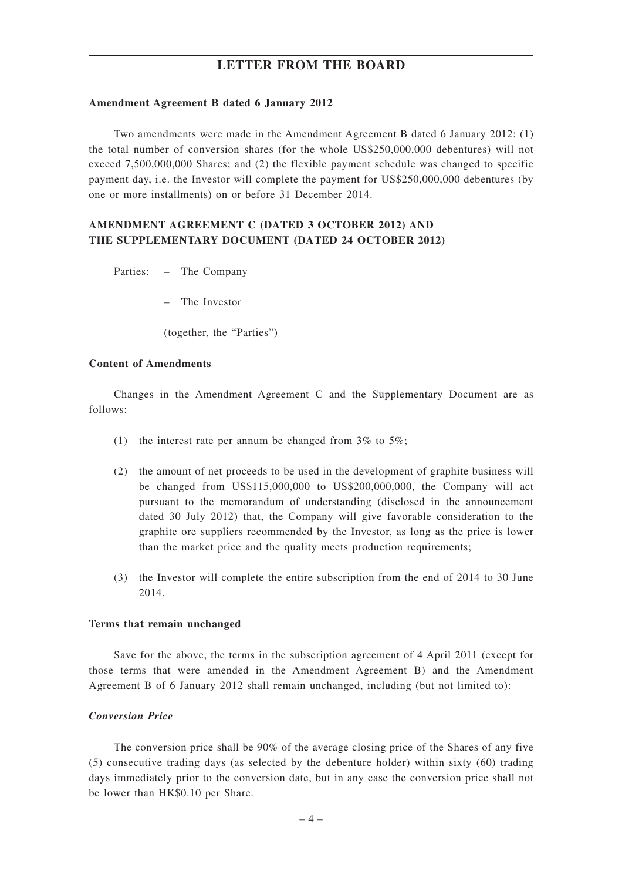#### **Amendment Agreement B dated 6 January 2012**

Two amendments were made in the Amendment Agreement B dated 6 January 2012: (1) the total number of conversion shares (for the whole US\$250,000,000 debentures) will not exceed 7,500,000,000 Shares; and (2) the flexible payment schedule was changed to specific payment day, i.e. the Investor will complete the payment for US\$250,000,000 debentures (by one or more installments) on or before 31 December 2014.

## **AMENDMENT AGREEMENT C (DATED 3 OCTOBER 2012) AND THE SUPPLEMENTARY DOCUMENT (DATED 24 OCTOBER 2012)**

Parties: – The Company

– The Investor

(together, the "Parties")

#### **Content of Amendments**

Changes in the Amendment Agreement C and the Supplementary Document are as follows:

- (1) the interest rate per annum be changed from  $3\%$  to  $5\%$ ;
- (2) the amount of net proceeds to be used in the development of graphite business will be changed from US\$115,000,000 to US\$200,000,000, the Company will act pursuant to the memorandum of understanding (disclosed in the announcement dated 30 July 2012) that, the Company will give favorable consideration to the graphite ore suppliers recommended by the Investor, as long as the price is lower than the market price and the quality meets production requirements;
- (3) the Investor will complete the entire subscription from the end of 2014 to 30 June 2014.

#### **Terms that remain unchanged**

Save for the above, the terms in the subscription agreement of 4 April 2011 (except for those terms that were amended in the Amendment Agreement B) and the Amendment Agreement B of 6 January 2012 shall remain unchanged, including (but not limited to):

## *Conversion Price*

The conversion price shall be 90% of the average closing price of the Shares of any five (5) consecutive trading days (as selected by the debenture holder) within sixty (60) trading days immediately prior to the conversion date, but in any case the conversion price shall not be lower than HK\$0.10 per Share.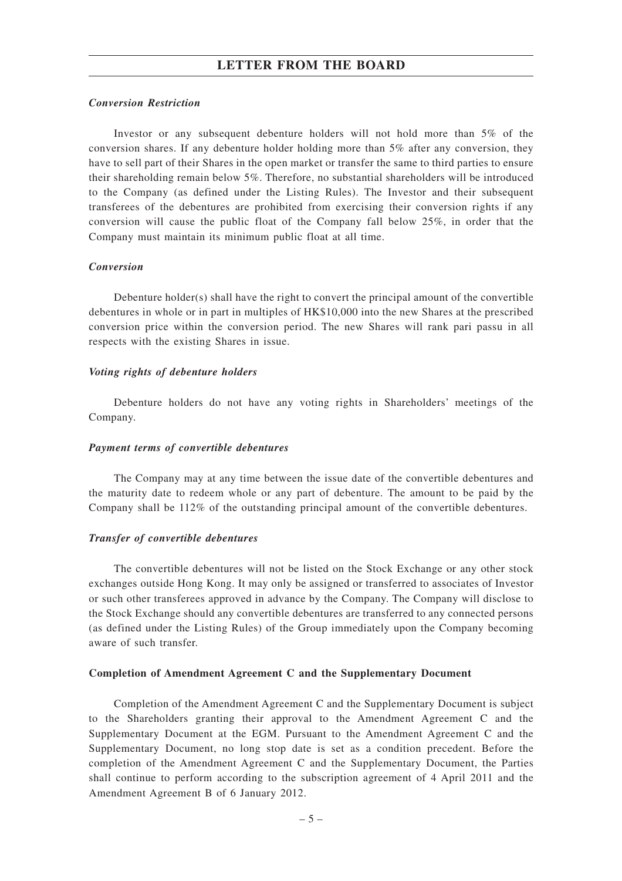#### *Conversion Restriction*

Investor or any subsequent debenture holders will not hold more than 5% of the conversion shares. If any debenture holder holding more than 5% after any conversion, they have to sell part of their Shares in the open market or transfer the same to third parties to ensure their shareholding remain below 5%. Therefore, no substantial shareholders will be introduced to the Company (as defined under the Listing Rules). The Investor and their subsequent transferees of the debentures are prohibited from exercising their conversion rights if any conversion will cause the public float of the Company fall below 25%, in order that the Company must maintain its minimum public float at all time.

#### *Conversion*

Debenture holder(s) shall have the right to convert the principal amount of the convertible debentures in whole or in part in multiples of HK\$10,000 into the new Shares at the prescribed conversion price within the conversion period. The new Shares will rank pari passu in all respects with the existing Shares in issue.

#### *Voting rights of debenture holders*

Debenture holders do not have any voting rights in Shareholders' meetings of the Company.

#### *Payment terms of convertible debentures*

The Company may at any time between the issue date of the convertible debentures and the maturity date to redeem whole or any part of debenture. The amount to be paid by the Company shall be 112% of the outstanding principal amount of the convertible debentures.

#### *Transfer of convertible debentures*

The convertible debentures will not be listed on the Stock Exchange or any other stock exchanges outside Hong Kong. It may only be assigned or transferred to associates of Investor or such other transferees approved in advance by the Company. The Company will disclose to the Stock Exchange should any convertible debentures are transferred to any connected persons (as defined under the Listing Rules) of the Group immediately upon the Company becoming aware of such transfer.

#### **Completion of Amendment Agreement C and the Supplementary Document**

Completion of the Amendment Agreement C and the Supplementary Document is subject to the Shareholders granting their approval to the Amendment Agreement C and the Supplementary Document at the EGM. Pursuant to the Amendment Agreement C and the Supplementary Document, no long stop date is set as a condition precedent. Before the completion of the Amendment Agreement C and the Supplementary Document, the Parties shall continue to perform according to the subscription agreement of 4 April 2011 and the Amendment Agreement B of 6 January 2012.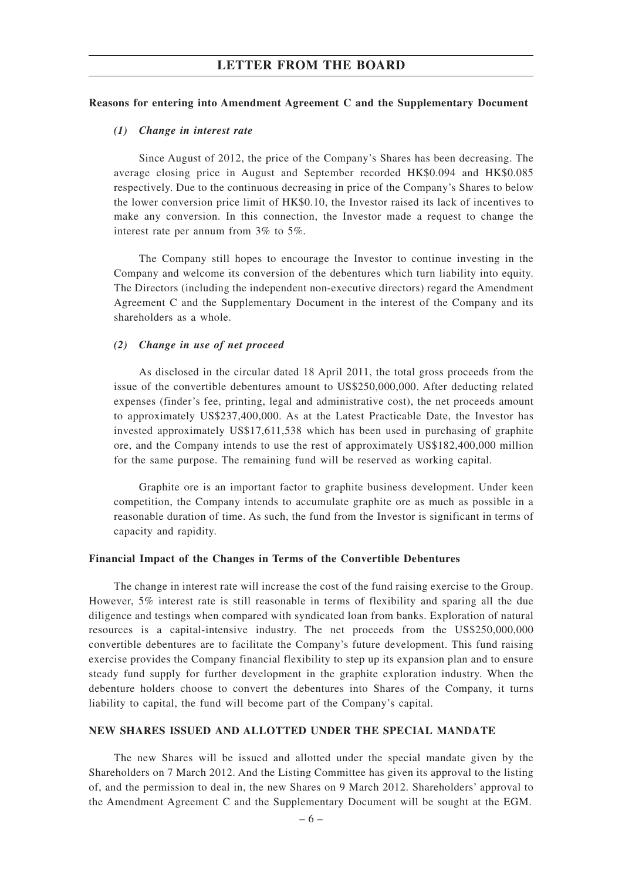#### **Reasons for entering into Amendment Agreement C and the Supplementary Document**

#### *(1) Change in interest rate*

Since August of 2012, the price of the Company's Shares has been decreasing. The average closing price in August and September recorded HK\$0.094 and HK\$0.085 respectively. Due to the continuous decreasing in price of the Company's Shares to below the lower conversion price limit of HK\$0.10, the Investor raised its lack of incentives to make any conversion. In this connection, the Investor made a request to change the interest rate per annum from 3% to 5%.

The Company still hopes to encourage the Investor to continue investing in the Company and welcome its conversion of the debentures which turn liability into equity. The Directors (including the independent non-executive directors) regard the Amendment Agreement C and the Supplementary Document in the interest of the Company and its shareholders as a whole.

#### *(2) Change in use of net proceed*

As disclosed in the circular dated 18 April 2011, the total gross proceeds from the issue of the convertible debentures amount to US\$250,000,000. After deducting related expenses (finder's fee, printing, legal and administrative cost), the net proceeds amount to approximately US\$237,400,000. As at the Latest Practicable Date, the Investor has invested approximately US\$17,611,538 which has been used in purchasing of graphite ore, and the Company intends to use the rest of approximately US\$182,400,000 million for the same purpose. The remaining fund will be reserved as working capital.

Graphite ore is an important factor to graphite business development. Under keen competition, the Company intends to accumulate graphite ore as much as possible in a reasonable duration of time. As such, the fund from the Investor is significant in terms of capacity and rapidity.

#### **Financial Impact of the Changes in Terms of the Convertible Debentures**

The change in interest rate will increase the cost of the fund raising exercise to the Group. However, 5% interest rate is still reasonable in terms of flexibility and sparing all the due diligence and testings when compared with syndicated loan from banks. Exploration of natural resources is a capital-intensive industry. The net proceeds from the US\$250,000,000 convertible debentures are to facilitate the Company's future development. This fund raising exercise provides the Company financial flexibility to step up its expansion plan and to ensure steady fund supply for further development in the graphite exploration industry. When the debenture holders choose to convert the debentures into Shares of the Company, it turns liability to capital, the fund will become part of the Company's capital.

#### **NEW SHARES ISSUED AND ALLOTTED UNDER THE SPECIAL MANDATE**

The new Shares will be issued and allotted under the special mandate given by the Shareholders on 7 March 2012. And the Listing Committee has given its approval to the listing of, and the permission to deal in, the new Shares on 9 March 2012. Shareholders' approval to the Amendment Agreement C and the Supplementary Document will be sought at the EGM.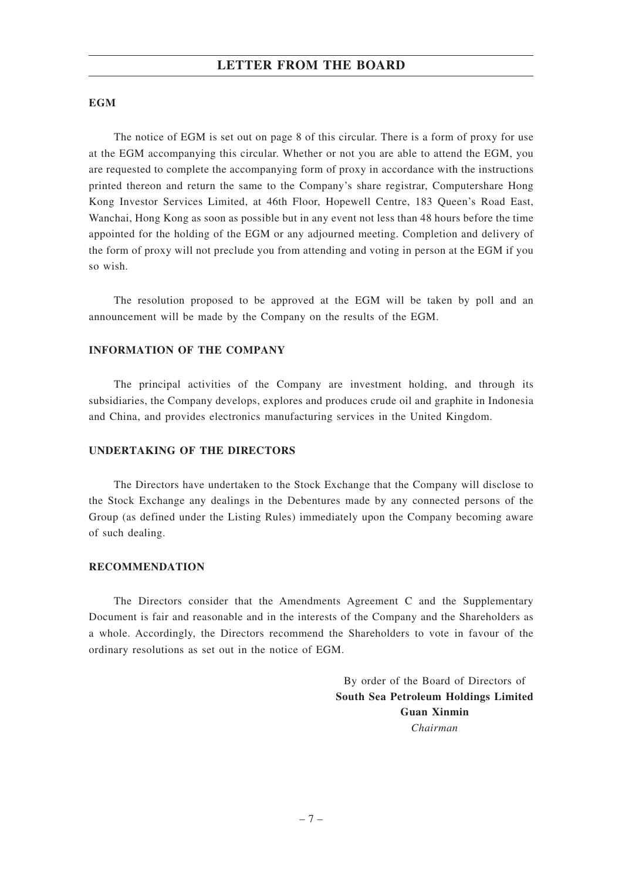#### **EGM**

The notice of EGM is set out on page 8 of this circular. There is a form of proxy for use at the EGM accompanying this circular. Whether or not you are able to attend the EGM, you are requested to complete the accompanying form of proxy in accordance with the instructions printed thereon and return the same to the Company's share registrar, Computershare Hong Kong Investor Services Limited, at 46th Floor, Hopewell Centre, 183 Queen's Road East, Wanchai, Hong Kong as soon as possible but in any event not less than 48 hours before the time appointed for the holding of the EGM or any adjourned meeting. Completion and delivery of the form of proxy will not preclude you from attending and voting in person at the EGM if you so wish.

The resolution proposed to be approved at the EGM will be taken by poll and an announcement will be made by the Company on the results of the EGM.

## **INFORMATION OF THE COMPANY**

The principal activities of the Company are investment holding, and through its subsidiaries, the Company develops, explores and produces crude oil and graphite in Indonesia and China, and provides electronics manufacturing services in the United Kingdom.

### **UNDERTAKING OF THE DIRECTORS**

The Directors have undertaken to the Stock Exchange that the Company will disclose to the Stock Exchange any dealings in the Debentures made by any connected persons of the Group (as defined under the Listing Rules) immediately upon the Company becoming aware of such dealing.

#### **RECOMMENDATION**

The Directors consider that the Amendments Agreement C and the Supplementary Document is fair and reasonable and in the interests of the Company and the Shareholders as a whole. Accordingly, the Directors recommend the Shareholders to vote in favour of the ordinary resolutions as set out in the notice of EGM.

> By order of the Board of Directors of **South Sea Petroleum Holdings Limited Guan Xinmin** *Chairman*